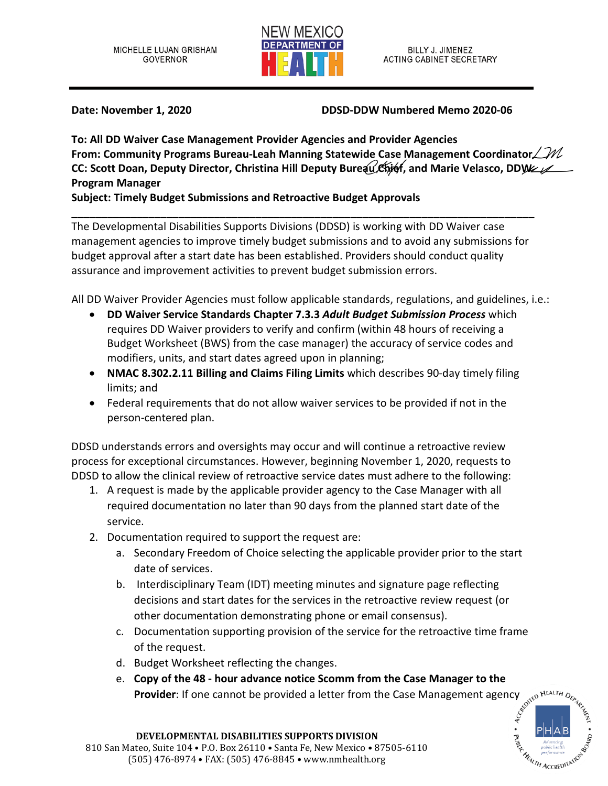

**Date: November 1, 2020 DDSD-DDW Numbered Memo 2020-06**

**To: All DD Waiver Case Management Provider Agencies and Provider Agencies From: Community Programs Bureau-Leah Manning Statewide Case Management Coordinator**  $\angle M$ **CC: Scott Doan, Deputy Director, Christina Hill Deputy Bureau Chief, and Marie Velasco, DDW / Program Manager**

**Subject: Timely Budget Submissions and Retroactive Budget Approvals** 

**\_\_\_\_\_\_\_\_\_\_\_\_\_\_\_\_\_\_\_\_\_\_\_\_\_\_\_\_\_\_\_\_\_\_\_\_\_\_\_\_\_\_\_\_\_\_\_\_\_\_\_\_\_\_\_\_\_\_\_\_\_\_\_\_\_\_\_\_\_\_\_\_\_\_\_\_\_\_** The Developmental Disabilities Supports Divisions (DDSD) is working with DD Waiver case management agencies to improve timely budget submissions and to avoid any submissions for budget approval after a start date has been established. Providers should conduct quality assurance and improvement activities to prevent budget submission errors.

All DD Waiver Provider Agencies must follow applicable standards, regulations, and guidelines, i.e.:

- **DD Waiver Service Standards Chapter 7.3.3** *Adult Budget Submission Process* which requires DD Waiver providers to verify and confirm (within 48 hours of receiving a Budget Worksheet (BWS) from the case manager) the accuracy of service codes and modifiers, units, and start dates agreed upon in planning;
- **NMAC 8.302.2.11 Billing and Claims Filing Limits** which describes 90-day timely filing limits; and
- Federal requirements that do not allow waiver services to be provided if not in the person-centered plan.

DDSD understands errors and oversights may occur and will continue a retroactive review process for exceptional circumstances. However, beginning November 1, 2020, requests to DDSD to allow the clinical review of retroactive service dates must adhere to the following:

- 1. A request is made by the applicable provider agency to the Case Manager with all required documentation no later than 90 days from the planned start date of the service.
- 2. Documentation required to support the request are:
	- a. Secondary Freedom of Choice selecting the applicable provider prior to the start date of services.
	- b. Interdisciplinary Team (IDT) meeting minutes and signature page reflecting decisions and start dates for the services in the retroactive review request (or other documentation demonstrating phone or email consensus).
	- c. Documentation supporting provision of the service for the retroactive time frame of the request.
	- d. Budget Worksheet reflecting the changes.
	- e. **Copy of the 48 hour advance notice Scomm from the Case Manager to the**<br>**Provider**: If one cannot be provided a letter from the Case Management agency  $\delta_{\text{cyl}}$  and  $\delta_{\text{cyl}}$ **Provider**: If one cannot be provided a letter from the Case Management agency